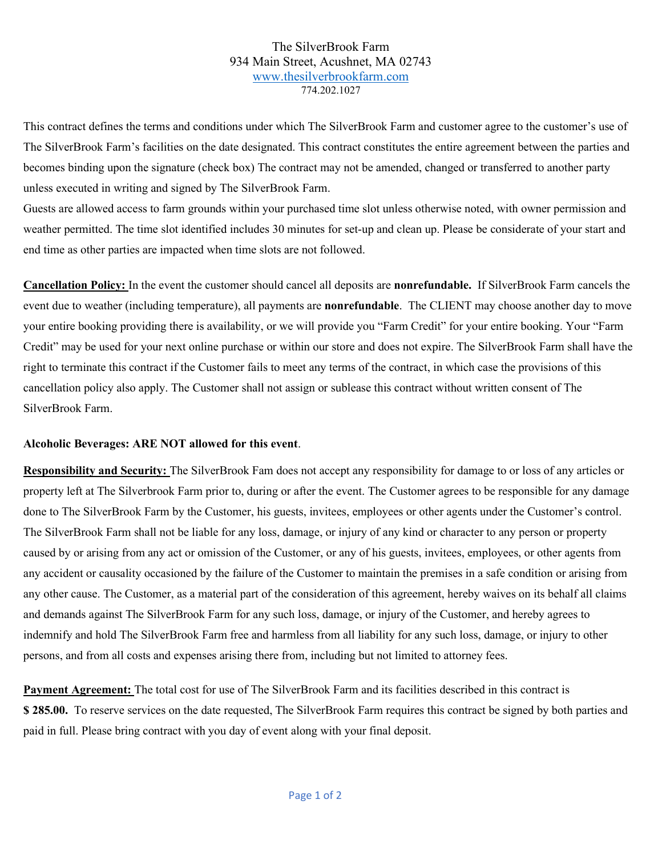## The SilverBrook Farm 934 Main Street, Acushnet, MA 02743 [www.thesilverbrookfarm.com](http://www.thesilverbrookfarm.com/) 774.202.1027

This contract defines the terms and conditions under which The SilverBrook Farm and customer agree to the customer's use of The SilverBrook Farm's facilities on the date designated. This contract constitutes the entire agreement between the parties and becomes binding upon the signature (check box) The contract may not be amended, changed or transferred to another party unless executed in writing and signed by The SilverBrook Farm.

Guests are allowed access to farm grounds within your purchased time slot unless otherwise noted, with owner permission and weather permitted. The time slot identified includes 30 minutes for set-up and clean up. Please be considerate of your start and end time as other parties are impacted when time slots are not followed.

**Cancellation Policy:** In the event the customer should cancel all deposits are **nonrefundable.** If SilverBrook Farm cancels the event due to weather (including temperature), all payments are **nonrefundable**. The CLIENT may choose another day to move your entire booking providing there is availability, or we will provide you "Farm Credit" for your entire booking. Your "Farm Credit" may be used for your next online purchase or within our store and does not expire. The SilverBrook Farm shall have the right to terminate this contract if the Customer fails to meet any terms of the contract, in which case the provisions of this cancellation policy also apply. The Customer shall not assign or sublease this contract without written consent of The SilverBrook Farm.

## **Alcoholic Beverages: ARE NOT allowed for this event**.

**Responsibility and Security:** The SilverBrook Fam does not accept any responsibility for damage to or loss of any articles or property left at The Silverbrook Farm prior to, during or after the event. The Customer agrees to be responsible for any damage done to The SilverBrook Farm by the Customer, his guests, invitees, employees or other agents under the Customer's control. The SilverBrook Farm shall not be liable for any loss, damage, or injury of any kind or character to any person or property caused by or arising from any act or omission of the Customer, or any of his guests, invitees, employees, or other agents from any accident or causality occasioned by the failure of the Customer to maintain the premises in a safe condition or arising from any other cause. The Customer, as a material part of the consideration of this agreement, hereby waives on its behalf all claims and demands against The SilverBrook Farm for any such loss, damage, or injury of the Customer, and hereby agrees to indemnify and hold The SilverBrook Farm free and harmless from all liability for any such loss, damage, or injury to other persons, and from all costs and expenses arising there from, including but not limited to attorney fees.

**Payment Agreement:** The total cost for use of The SilverBrook Farm and its facilities described in this contract is **\$ 285.00.** To reserve services on the date requested, The SilverBrook Farm requires this contract be signed by both parties and paid in full. Please bring contract with you day of event along with your final deposit.